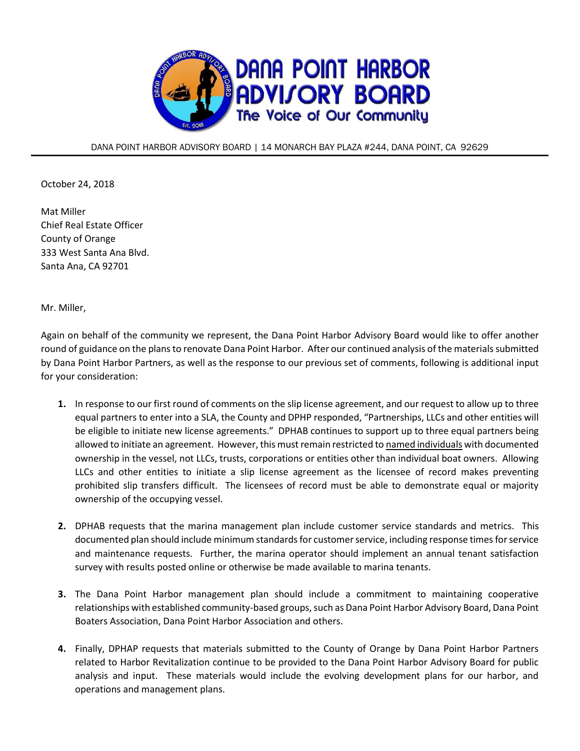

DANA POINT HARBOR ADVISORY BOARD | 14 MONARCH BAY PLAZA #244, DANA POINT, CA 92629

October 24, 2018

Mat Miller Chief Real Estate Officer County of Orange 333 West Santa Ana Blvd. Santa Ana, CA 92701

Mr. Miller,

Again on behalf of the community we represent, the Dana Point Harbor Advisory Board would like to offer another round of guidance on the plans to renovate Dana Point Harbor. After our continued analysis of the materials submitted by Dana Point Harbor Partners, as well as the response to our previous set of comments, following is additional input for your consideration:

- **1.** In response to our first round of comments on the slip license agreement, and our request to allow up to three equal partners to enter into a SLA, the County and DPHP responded, "Partnerships, LLCs and other entities will be eligible to initiate new license agreements." DPHAB continues to support up to three equal partners being allowed to initiate an agreement. However, this must remain restricted to named individuals with documented ownership in the vessel, not LLCs, trusts, corporations or entities other than individual boat owners. Allowing LLCs and other entities to initiate a slip license agreement as the licensee of record makes preventing prohibited slip transfers difficult. The licensees of record must be able to demonstrate equal or majority ownership of the occupying vessel.
- **2.** DPHAB requests that the marina management plan include customer service standards and metrics. This documented plan should include minimum standards for customer service, including response times for service and maintenance requests. Further, the marina operator should implement an annual tenant satisfaction survey with results posted online or otherwise be made available to marina tenants.
- **3.** The Dana Point Harbor management plan should include a commitment to maintaining cooperative relationships with established community-based groups, such as Dana Point Harbor Advisory Board, Dana Point Boaters Association, Dana Point Harbor Association and others.
- **4.** Finally, DPHAP requests that materials submitted to the County of Orange by Dana Point Harbor Partners related to Harbor Revitalization continue to be provided to the Dana Point Harbor Advisory Board for public analysis and input. These materials would include the evolving development plans for our harbor, and operations and management plans.